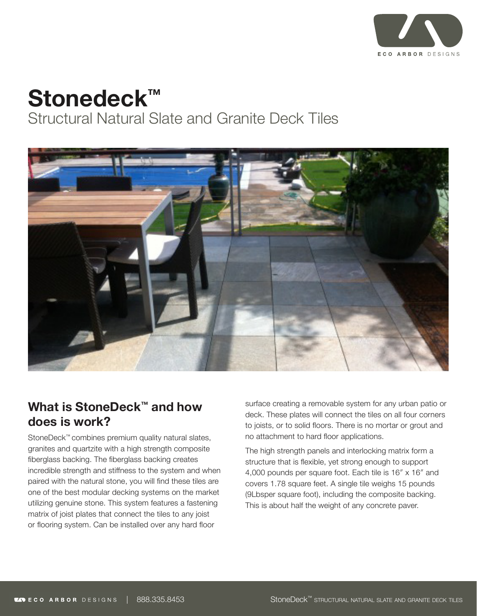

# **Stonedeck™**

Structural Natural Slate and Granite Deck Tiles



### **What is StoneDeck™ and how does is work?**

StoneDeck™ combines premium quality natural slates, granites and quartzite with a high strength composite fiberglass backing. The fiberglass backing creates incredible strength and stiffness to the system and when paired with the natural stone, you will find these tiles are one of the best modular decking systems on the market utilizing genuine stone. This system features a fastening matrix of joist plates that connect the tiles to any joist or flooring system. Can be installed over any hard floor

surface creating a removable system for any urban patio or deck. These plates will connect the tiles on all four corners to joists, or to solid floors. There is no mortar or grout and no attachment to hard floor applications.

The high strength panels and interlocking matrix form a structure that is flexible, yet strong enough to support 4,000 pounds per square foot. Each tile is 16″ x 16″ and covers 1.78 square feet. A single tile weighs 15 pounds (9Lbsper square foot), including the composite backing. This is about half the weight of any concrete paver.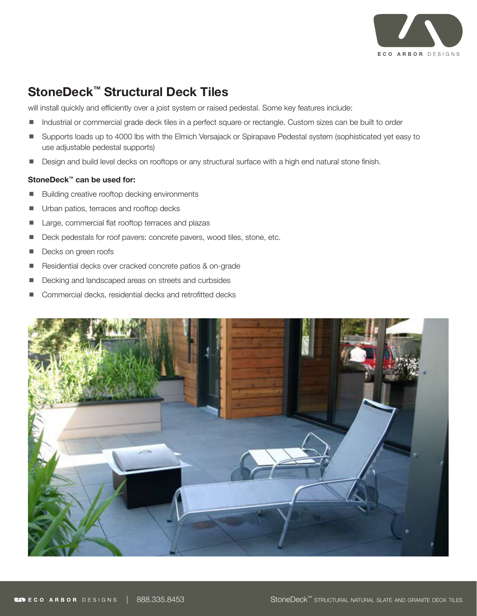

### **StoneDeck™ Structural Deck Tiles**

will install quickly and efficiently over a joist system or raised pedestal. Some key features include:

- Industrial or commercial grade deck tiles in a perfect square or rectangle. Custom sizes can be built to order
- Supports loads up to 4000 lbs with the Elmich Versajack or Spirapave Pedestal system (sophisticated yet easy to use adjustable pedestal supports)
- **Design and build level decks on rooftops or any structural surface with a high end natural stone finish.**

#### **StoneDeck™ can be used for:**

- Building creative rooftop decking environments
- Urban patios, terraces and rooftop decks
- Large, commercial flat rooftop terraces and plazas
- Deck pedestals for roof pavers: concrete pavers, wood tiles, stone, etc.
- Decks on green roofs
- Residential decks over cracked concrete patios & on-grade
- Decking and landscaped areas on streets and curbsides
- Commercial decks, residential decks and retrofitted decks

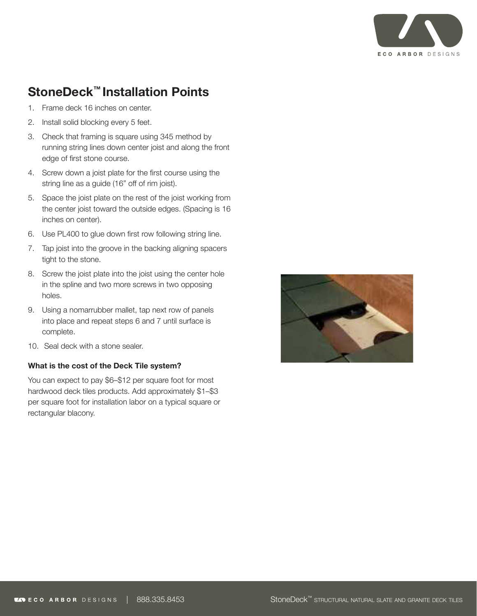

## **StoneDeck™ Installation Points**

- 1. Frame deck 16 inches on center.
- 2. Install solid blocking every 5 feet.
- 3. Check that framing is square using 345 method by running string lines down center joist and along the front edge of first stone course.
- 4. Screw down a joist plate for the first course using the string line as a guide (16" off of rim joist).
- 5. Space the joist plate on the rest of the joist working from the center joist toward the outside edges. (Spacing is 16 inches on center).
- 6. Use PL400 to glue down first row following string line.
- 7. Tap joist into the groove in the backing aligning spacers tight to the stone.
- 8. Screw the joist plate into the joist using the center hole in the spline and two more screws in two opposing holes.
- 9. Using a nomarrubber mallet, tap next row of panels into place and repeat steps 6 and 7 until surface is complete.
- 10. Seal deck with a stone sealer.

#### **What is the cost of the Deck Tile system?**

You can expect to pay \$6–\$12 per square foot for most hardwood deck tiles products. Add approximately \$1–\$3 per square foot for installation labor on a typical square or rectangular blacony.

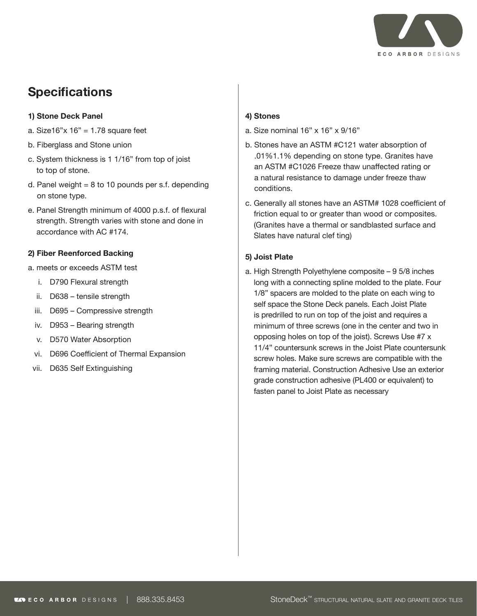

# **Specifications**

#### **1) Stone Deck Panel**

- a. Size16" $x$  16" = 1.78 square feet
- b. Fiberglass and Stone union
- c. System thickness is 1 1/16" from top of joist to top of stone.
- d. Panel weight  $= 8$  to 10 pounds per s.f. depending on stone type.
- e. Panel Strength minimum of 4000 p.s.f. of flexural strength. Strength varies with stone and done in accordance with AC #174.

#### **2) Fiber Reenforced Backing**

- a. meets or exceeds ASTM test
	- i. D790 Flexural strength
	- ii. D638 tensile strength
	- iii. D695 Compressive strength
	- iv. D953 Bearing strength
	- v. D570 Water Absorption
	- vi. D696 Coefficient of Thermal Expansion
- vii. D635 Self Extinguishing

#### **4) Stones**

- a. Size nominal 16" x 16" x 9/16"
- b. Stones have an ASTM #C121 water absorption of .01%1.1% depending on stone type. Granites have an ASTM #C1026 Freeze thaw unaffected rating or a natural resistance to damage under freeze thaw conditions.
- c. Generally all stones have an ASTM# 1028 coefficient of friction equal to or greater than wood or composites. (Granites have a thermal or sandblasted surface and Slates have natural clef ting)

#### **5) Joist Plate**

a. High Strength Polyethylene composite – 9 5/8 inches long with a connecting spline molded to the plate. Four 1/8" spacers are molded to the plate on each wing to self space the Stone Deck panels. Each Joist Plate is predrilled to run on top of the joist and requires a minimum of three screws (one in the center and two in opposing holes on top of the joist). Screws Use #7 x 11/4" countersunk screws in the Joist Plate countersunk screw holes. Make sure screws are compatible with the framing material. Construction Adhesive Use an exterior grade construction adhesive (PL400 or equivalent) to fasten panel to Joist Plate as necessary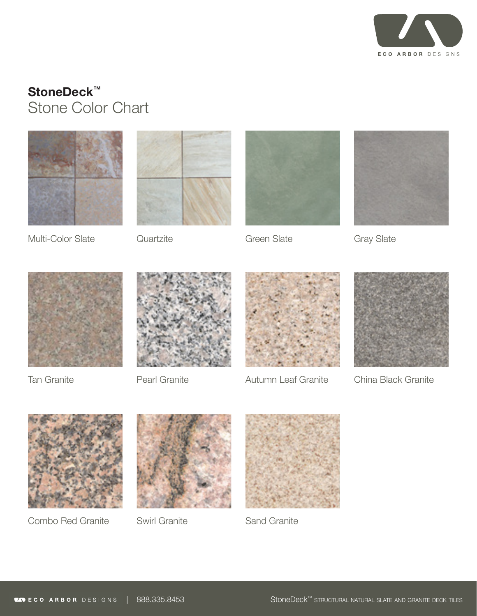

# **StoneDeck™**  Stone Color Chart





Multi-Color Slate

**Quartzite** 



Green Slate







Tan Granite



Pearl Granite



Autumn Leaf Granite



China Black Granite



Combo Red Granite





Swirl Granite **Sand Granite**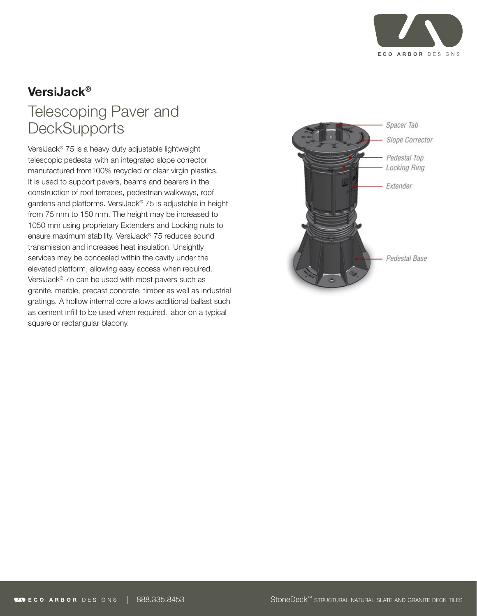

# **VersiJack®**

# Telescoping Paver and **DeckSupports**

VersiJack® 75 is a heavy duty adjustable lightweight telescopic pedestal with an integrated slope corrector manufactured from100% recycled or clear virgin plastics. It is used to support pavers, beams and bearers in the construction of roof terraces, pedestrian walkways, roof gardens and platforms. VersiJack® 75 is adjustable in height from 75 mm to 150 mm. The height may be increased to 1050 mm using proprietary Extenders and Locking nuts to ensure maximum stability. VersiJack® 75 reduces sound transmission and increases heat insulation. Unsightly services may be concealed within the cavity under the elevated platform, allowing easy access when required. VersiJack® 75 can be used with most pavers such as granite, marble, precast concrete, timber as well as industrial gratings. A hollow internal core allows additional ballast such as cement infill to be used when required. labor on a typical square or rectangular blacony.

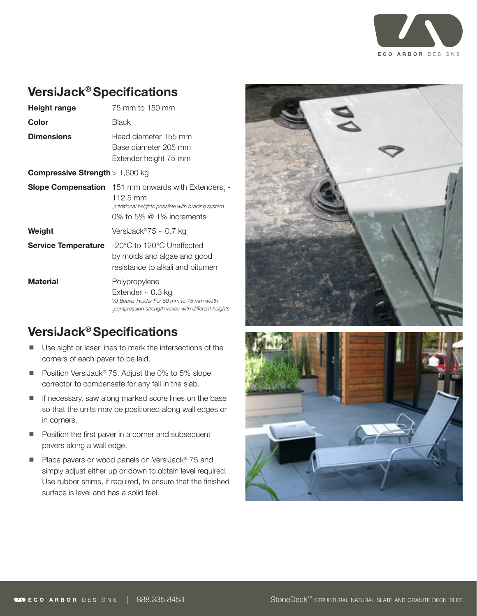

### **VersiJack® Specifications**

| Height range                             | 75 mm to 150 mm                                                                                                                                                     |
|------------------------------------------|---------------------------------------------------------------------------------------------------------------------------------------------------------------------|
| Color                                    | Black                                                                                                                                                               |
| <b>Dimensions</b>                        | Head diameter 155 mm<br>Base diameter 205 mm<br>Extender height 75 mm                                                                                               |
| <b>Compressive Strength</b> $> 1,600$ kg |                                                                                                                                                                     |
|                                          | <b>Slope Compensation</b> 151 mm onwards with Extenders, -<br>$112.5 \text{ mm}$<br>, additional heights possible with bracing system<br>0% to 5% $@$ 1% increments |
| Weight                                   | VersiJack®75 ~ 0.7 kg                                                                                                                                               |
| <b>Service Temperature</b>               | -20°C to 120°C Unaffected<br>by molds and algae and good<br>resistance to alkali and bitumen                                                                        |
| <b>Material</b>                          | Polypropylene<br>Extender $\sim$ 0.3 kg<br>VJ Bearer Holder For 50 mm to 75 mm width<br>compression strength varies with different heights,                         |

-

# **VersiJack® Specifications**

- Use sight or laser lines to mark the intersections of the corners of each paver to be laid.
- Position VersiJack<sup>®</sup> 75. Adjust the 0% to 5% slope corrector to compensate for any fall in the slab.
- **If necessary, saw along marked score lines on the base** so that the units may be positioned along wall edges or in corners.
- **Position the first paver in a corner and subsequent** pavers along a wall edge.
- Place pavers or wood panels on VersiJack® 75 and simply adjust either up or down to obtain level required. Use rubber shims, if required, to ensure that the finished surface is level and has a solid feel.



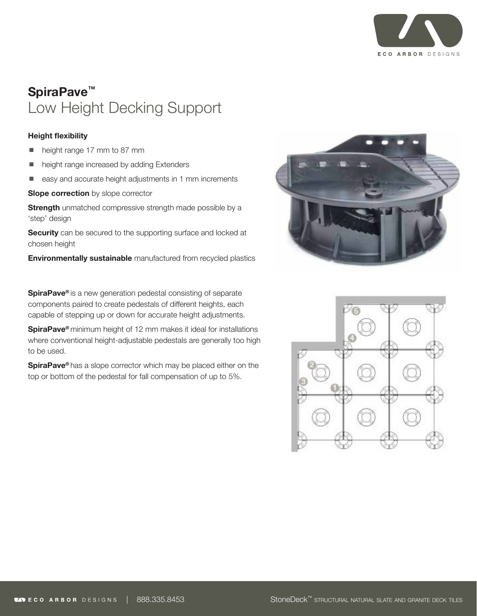

# **SpiraPave™**  Low Height Decking Support

#### **Height flexibility**

- height range 17 mm to 87 mm
- height range increased by adding Extenders
- easy and accurate height adjustments in 1 mm increments

**Slope correction** by slope corrector

**Strength** unmatched compressive strength made possible by a 'step' design

**Security** can be secured to the supporting surface and locked at chosen height

**Environmentally sustainable** manufactured from recycled plastics

**SpiraPave<sup>®</sup>** is a new generation pedestal consisting of separate components paired to create pedestals of different heights, each capable of stepping up or down for accurate height adjustments.

**SpiraPave®** minimum height of 12 mm makes it ideal for installations where conventional height-adjustable pedestals are generally too high to be used.

**SpiraPave®** has a slope corrector which may be placed either on the top or bottom of the pedestal for fall compensation of up to 5%.